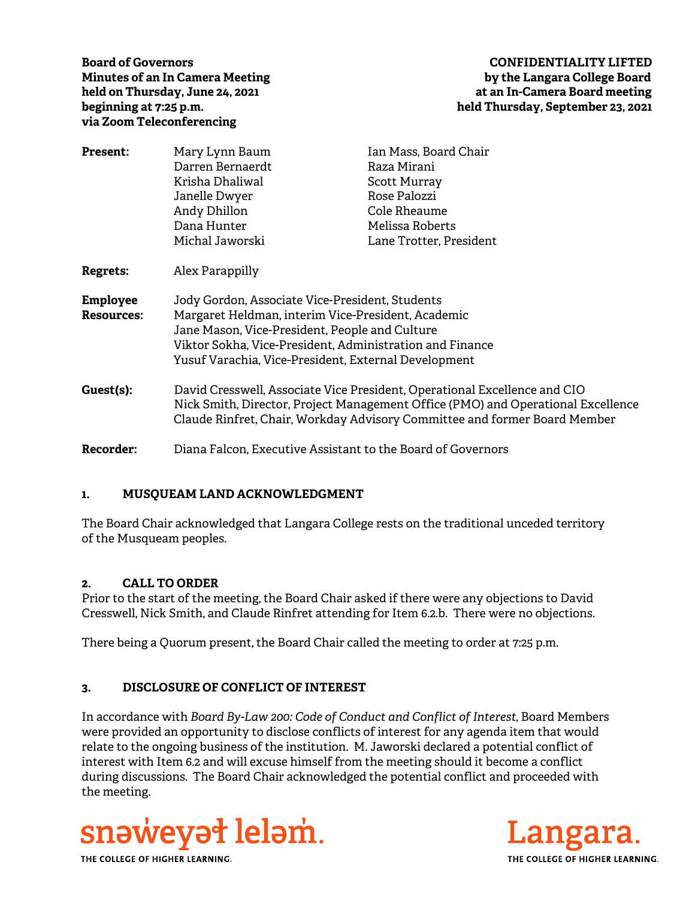**via Zoom Teleconferencing** 

## **Board of Governors CONFIDENTIALITY LIFTED Minutes of an In Camera Meeting by the Langara College Board**  held on Thursday, June 24, 2021 **at an In-Camera Board meeting beginning at 7:25 p.m. held Thursday, September 23, 2021**

| Present:                                             | Mary Lynn Baum                                                                   | Ian Mass, Board Chair   |
|------------------------------------------------------|----------------------------------------------------------------------------------|-------------------------|
|                                                      | Darren Bernaerdt                                                                 | Raza Mirani             |
|                                                      | Krisha Dhaliwal                                                                  | Scott Murray            |
|                                                      | Janelle Dwyer                                                                    | Rose Palozzi            |
|                                                      | Andy Dhillon                                                                     | Cole Rheaume            |
|                                                      | Dana Hunter                                                                      | Melissa Roberts         |
|                                                      | Michal Jaworski                                                                  | Lane Trotter, President |
| Regrets:                                             | Alex Parappilly                                                                  |                         |
| <b>Employee</b>                                      | Jody Gordon, Associate Vice-President, Students                                  |                         |
| <b>Resources:</b>                                    | Margaret Heldman, interim Vice-President, Academic                               |                         |
|                                                      | Jane Mason, Vice-President, People and Culture                                   |                         |
|                                                      | Viktor Sokha, Vice-President, Administration and Finance                         |                         |
| Yusuf Varachia, Vice-President, External Development |                                                                                  |                         |
| Guest(s):                                            | David Cresswell, Associate Vice President, Operational Excellence and CIO        |                         |
|                                                      | Nick Smith, Director, Project Management Office (PMO) and Operational Excellence |                         |
|                                                      | Claude Rinfret, Chair, Workday Advisory Committee and former Board Member        |                         |
| <b>Recorder:</b>                                     | Diana Falcon, Executive Assistant to the Board of Governors                      |                         |

## **1. MUSQUEAM LAND ACKNOWLEDGMENT**

The Board Chair acknowledged that Langara College rests on the traditional unceded territory of the Musqueam peoples.

## **2. CALL TO ORDER**

Prior to the start of the meeting, the Board Chair asked if there were any objections to David Cresswell, Nick Smith, and Claude Rinfret attending for Item 6.2.b. There were no objections.

There being a Quorum present, the Board Chair called the meeting to order at 7:25 p.m.

# **3. DISCLOSURE OF CONFLICT OF INTEREST**

In accordance with *Board By-Law 200: Code of Conduct and Conflict of Interest*, Board Members were provided an opportunity to disclose conflicts of interest for any agenda item that would relate to the ongoing business of the institution. M. Jaworski declared a potential conflict of interest with Item 6.2 and will excuse himself from the meeting should it become a conflict during discussions. The Board Chair acknowledged the potential conflict and proceeded with the meeting.





THE COLLEGE OF HIGHER LEARNING.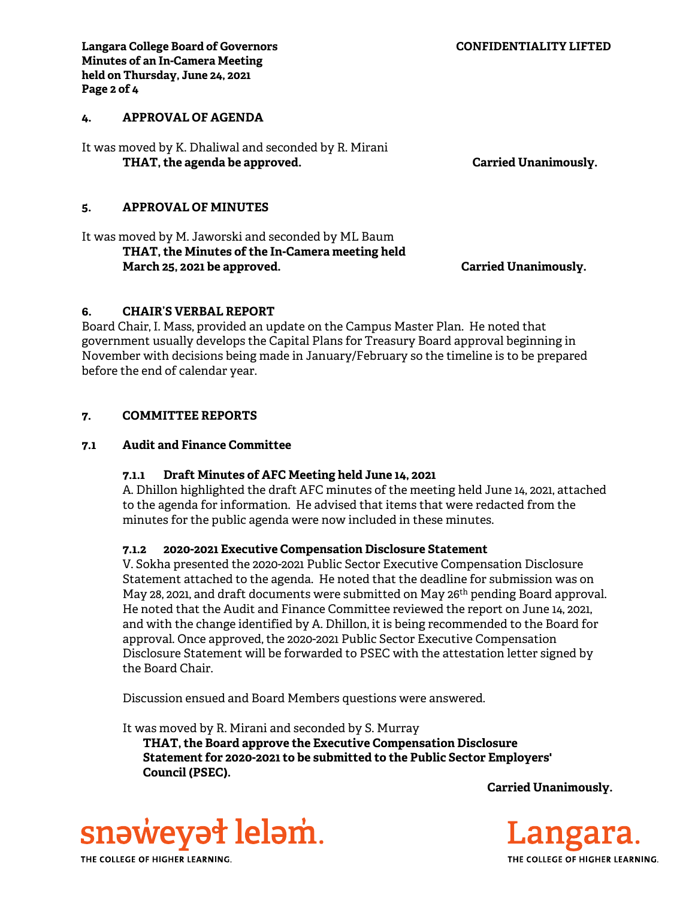## **4. APPROVAL OF AGENDA**

**Page 2 of 4** 

It was moved by K. Dhaliwal and seconded by R. Mirani THAT, the agenda be approved. **Carried Unanimously.** Carried Unanimously.

#### **5. APPROVAL OF MINUTES**

It was moved by M. Jaworski and seconded by ML Baum  **THAT, the Minutes of the In-Camera meeting held March 25, 2021 be approved. Carried Unanimously.** 

#### **6. CHAIR'S VERBAL REPORT**

Board Chair, I. Mass, provided an update on the Campus Master Plan. He noted that government usually develops the Capital Plans for Treasury Board approval beginning in November with decisions being made in January/February so the timeline is to be prepared before the end of calendar year.

#### **7. COMMITTEE REPORTS**

#### **7.1 Audit and Finance Committee**

#### **7.1.1 Draft Minutes of AFC Meeting held June 14, 2021**

A. Dhillon highlighted the draft AFC minutes of the meeting held June 14, 2021, attached to the agenda for information. He advised that items that were redacted from the minutes for the public agenda were now included in these minutes.

#### **7.1.2 2020-2021 Executive Compensation Disclosure Statement**

V. Sokha presented the 2020-2021 Public Sector Executive Compensation Disclosure Statement attached to the agenda. He noted that the deadline for submission was on May 28, 2021, and draft documents were submitted on May 26th pending Board approval. He noted that the Audit and Finance Committee reviewed the report on June 14, 2021, and with the change identified by A. Dhillon, it is being recommended to the Board for approval. Once approved, the 2020-2021 Public Sector Executive Compensation Disclosure Statement will be forwarded to PSEC with the attestation letter signed by the Board Chair.

Discussion ensued and Board Members questions were answered.

It was moved by R. Mirani and seconded by S. Murray

**THAT, the Board approve the Executive Compensation Disclosure Statement for 2020-2021 to be submitted to the Public Sector Employers' Council (PSEC).** 

**Carried Unanimously.** 



THE COLLEGE OF HIGHER LEARNING.

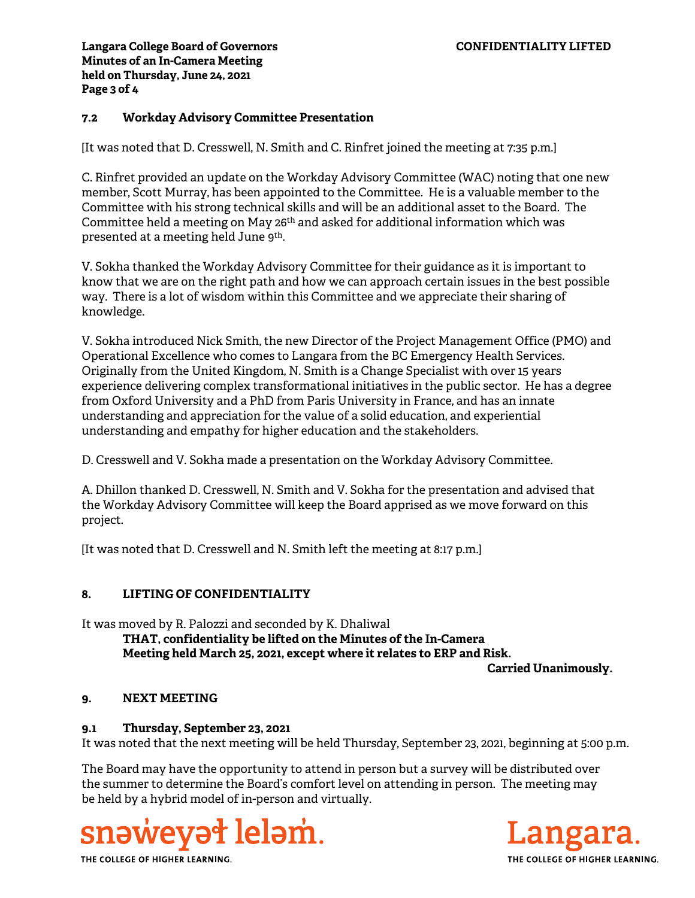## **7.2 Workday Advisory Committee Presentation**

[It was noted that D. Cresswell, N. Smith and C. Rinfret joined the meeting at 7:35 p.m.]

C. Rinfret provided an update on the Workday Advisory Committee (WAC) noting that one new member, Scott Murray, has been appointed to the Committee. He is a valuable member to the Committee with his strong technical skills and will be an additional asset to the Board. The Committee held a meeting on May 26th and asked for additional information which was presented at a meeting held June 9th.

V. Sokha thanked the Workday Advisory Committee for their guidance as it is important to know that we are on the right path and how we can approach certain issues in the best possible way. There is a lot of wisdom within this Committee and we appreciate their sharing of knowledge.

V. Sokha introduced Nick Smith, the new Director of the Project Management Office (PMO) and Operational Excellence who comes to Langara from the BC Emergency Health Services. Originally from the United Kingdom, N. Smith is a Change Specialist with over 15 years experience delivering complex transformational initiatives in the public sector. He has a degree from Oxford University and a PhD from Paris University in France, and has an innate understanding and appreciation for the value of a solid education, and experiential understanding and empathy for higher education and the stakeholders.

D. Cresswell and V. Sokha made a presentation on the Workday Advisory Committee.

A. Dhillon thanked D. Cresswell, N. Smith and V. Sokha for the presentation and advised that the Workday Advisory Committee will keep the Board apprised as we move forward on this project.

[It was noted that D. Cresswell and N. Smith left the meeting at 8:17 p.m.]

#### **8. LIFTING OF CONFIDENTIALITY**

It was moved by R. Palozzi and seconded by K. Dhaliwal  **THAT, confidentiality be lifted on the Minutes of the In-Camera Meeting held March 25, 2021, except where it relates to ERP and Risk.** 

**Carried Unanimously.** 

## **9. NEXT MEETING**

#### **9.1 Thursday, September 23, 2021**

It was noted that the next meeting will be held Thursday, September 23, 2021, beginning at 5:00 p.m.

The Board may have the opportunity to attend in person but a survey will be distributed over the summer to determine the Board's comfort level on attending in person. The meeting may be held by a hybrid model of in-person and virtually.



THE COLLEGE OF HIGHER LEARNING.

THE COLLEGE OF HIGHER LEARNING.